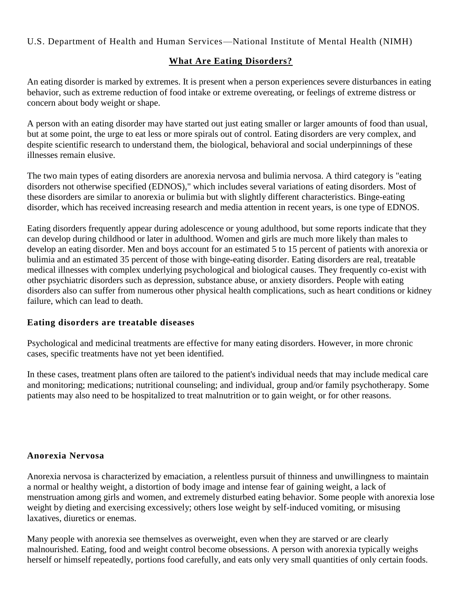## U.S. Department of Health and Human Services—National Institute of Mental Health (NIMH)

## **What Are Eating Disorders?**

An eating disorder is marked by extremes. It is present when a person experiences severe disturbances in eating behavior, such as extreme reduction of food intake or extreme overeating, or feelings of extreme distress or concern about body weight or shape.

A person with an eating disorder may have started out just eating smaller or larger amounts of food than usual, but at some point, the urge to eat less or more spirals out of control. Eating disorders are very complex, and despite scientific research to understand them, the biological, behavioral and social underpinnings of these illnesses remain elusive.

The two main types of eating disorders are anorexia nervosa and bulimia nervosa. A third category is "eating disorders not otherwise specified (EDNOS)," which includes several variations of eating disorders. Most of these disorders are similar to anorexia or bulimia but with slightly different characteristics. Binge-eating disorder, which has received increasing research and media attention in recent years, is one type of EDNOS.

Eating disorders frequently appear during adolescence or young adulthood, but some reports indicate that they can develop during childhood or later in adulthood. Women and girls are much more likely than males to develop an eating disorder. Men and boys account for an estimated 5 to 15 percent of patients with anorexia or bulimia and an estimated 35 percent of those with binge-eating disorder. Eating disorders are real, treatable medical illnesses with complex underlying psychological and biological causes. They frequently co-exist with other psychiatric disorders such as depression, substance abuse, or anxiety disorders. People with eating disorders also can suffer from numerous other physical health complications, such as heart conditions or kidney failure, which can lead to death.

#### **Eating disorders are treatable diseases**

Psychological and medicinal treatments are effective for many eating disorders. However, in more chronic cases, specific treatments have not yet been identified.

In these cases, treatment plans often are tailored to the patient's individual needs that may include medical care and monitoring; medications; nutritional counseling; and individual, group and/or family psychotherapy. Some patients may also need to be hospitalized to treat malnutrition or to gain weight, or for other reasons.

#### **Anorexia Nervosa**

Anorexia nervosa is characterized by emaciation, a relentless pursuit of thinness and unwillingness to maintain a normal or healthy weight, a distortion of body image and intense fear of gaining weight, a lack of menstruation among girls and women, and extremely disturbed eating behavior. Some people with anorexia lose weight by dieting and exercising excessively; others lose weight by self-induced vomiting, or misusing laxatives, diuretics or enemas.

Many people with anorexia see themselves as overweight, even when they are starved or are clearly malnourished. Eating, food and weight control become obsessions. A person with anorexia typically weighs herself or himself repeatedly, portions food carefully, and eats only very small quantities of only certain foods.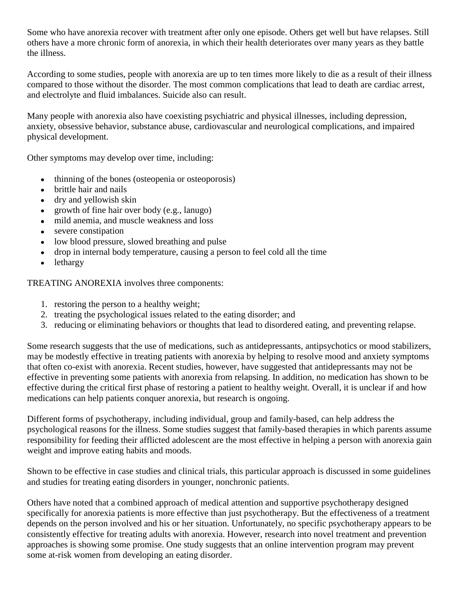Some who have anorexia recover with treatment after only one episode. Others get well but have relapses. Still others have a more chronic form of anorexia, in which their health deteriorates over many years as they battle the illness.

According to some studies, people with anorexia are up to ten times more likely to die as a result of their illness compared to those without the disorder. The most common complications that lead to death are cardiac arrest, and electrolyte and fluid imbalances. Suicide also can result.

Many people with anorexia also have coexisting psychiatric and physical illnesses, including depression, anxiety, obsessive behavior, substance abuse, cardiovascular and neurological complications, and impaired physical development.

Other symptoms may develop over time, including:

- thinning of the bones (osteopenia or osteoporosis)  $\bullet$
- brittle hair and nails
- dry and yellowish skin
- growth of fine hair over body (e.g., lanugo)
- mild anemia, and muscle weakness and loss  $\bullet$
- severe constipation
- low blood pressure, slowed breathing and pulse
- drop in internal body temperature, causing a person to feel cold all the time  $\bullet$
- lethargy

TREATING ANOREXIA involves three components:

- 1. restoring the person to a healthy weight;
- 2. treating the psychological issues related to the eating disorder; and
- 3. reducing or eliminating behaviors or thoughts that lead to disordered eating, and preventing relapse.

Some research suggests that the use of medications, such as antidepressants, antipsychotics or mood stabilizers, may be modestly effective in treating patients with anorexia by helping to resolve mood and anxiety symptoms that often co-exist with anorexia. Recent studies, however, have suggested that antidepressants may not be effective in preventing some patients with anorexia from relapsing. In addition, no medication has shown to be effective during the critical first phase of restoring a patient to healthy weight. Overall, it is unclear if and how medications can help patients conquer anorexia, but research is ongoing.

Different forms of psychotherapy, including individual, group and family-based, can help address the psychological reasons for the illness. Some studies suggest that family-based therapies in which parents assume responsibility for feeding their afflicted adolescent are the most effective in helping a person with anorexia gain weight and improve eating habits and moods.

Shown to be effective in case studies and clinical trials, this particular approach is discussed in some guidelines and studies for treating eating disorders in younger, nonchronic patients.

Others have noted that a combined approach of medical attention and supportive psychotherapy designed specifically for anorexia patients is more effective than just psychotherapy. But the effectiveness of a treatment depends on the person involved and his or her situation. Unfortunately, no specific psychotherapy appears to be consistently effective for treating adults with anorexia. However, research into novel treatment and prevention approaches is showing some promise. One study suggests that an online intervention program may prevent some at-risk women from developing an eating disorder.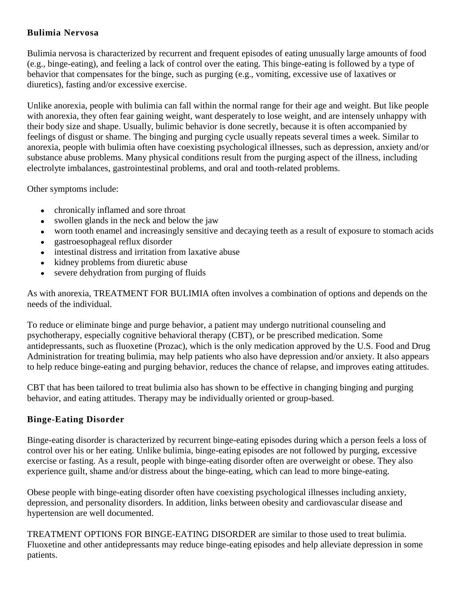## **Bulimia Nervosa**

Bulimia nervosa is characterized by recurrent and frequent episodes of eating unusually large amounts of food (e.g., binge-eating), and feeling a lack of control over the eating. This binge-eating is followed by a type of behavior that compensates for the binge, such as purging (e.g., vomiting, excessive use of laxatives or diuretics), fasting and/or excessive exercise.

Unlike anorexia, people with bulimia can fall within the normal range for their age and weight. But like people with anorexia, they often fear gaining weight, want desperately to lose weight, and are intensely unhappy with their body size and shape. Usually, bulimic behavior is done secretly, because it is often accompanied by feelings of disgust or shame. The binging and purging cycle usually repeats several times a week. Similar to anorexia, people with bulimia often have coexisting psychological illnesses, such as depression, anxiety and/or substance abuse problems. Many physical conditions result from the purging aspect of the illness, including electrolyte imbalances, gastrointestinal problems, and oral and tooth-related problems.

Other symptoms include:

- chronically inflamed and sore throat
- swollen glands in the neck and below the jaw  $\bullet$
- worn tooth enamel and increasingly sensitive and decaying teeth as a result of exposure to stomach acids
- gastroesophageal reflux disorder  $\bullet$
- intestinal distress and irritation from laxative abuse  $\bullet$
- kidney problems from diuretic abuse
- severe dehydration from purging of fluids

As with anorexia, TREATMENT FOR BULIMIA often involves a combination of options and depends on the needs of the individual.

To reduce or eliminate binge and purge behavior, a patient may undergo nutritional counseling and psychotherapy, especially cognitive behavioral therapy (CBT), or be prescribed medication. Some antidepressants, such as fluoxetine (Prozac), which is the only medication approved by the U.S. Food and Drug Administration for treating bulimia, may help patients who also have depression and/or anxiety. It also appears to help reduce binge-eating and purging behavior, reduces the chance of relapse, and improves eating attitudes.

CBT that has been tailored to treat bulimia also has shown to be effective in changing binging and purging behavior, and eating attitudes. Therapy may be individually oriented or group-based.

# **Binge-Eating Disorder**

Binge-eating disorder is characterized by recurrent binge-eating episodes during which a person feels a loss of control over his or her eating. Unlike bulimia, binge-eating episodes are not followed by purging, excessive exercise or fasting. As a result, people with binge-eating disorder often are overweight or obese. They also experience guilt, shame and/or distress about the binge-eating, which can lead to more binge-eating.

Obese people with binge-eating disorder often have coexisting psychological illnesses including anxiety, depression, and personality disorders. In addition, links between obesity and cardiovascular disease and hypertension are well documented.

TREATMENT OPTIONS FOR BINGE-EATING DISORDER are similar to those used to treat bulimia. Fluoxetine and other antidepressants may reduce binge-eating episodes and help alleviate depression in some patients.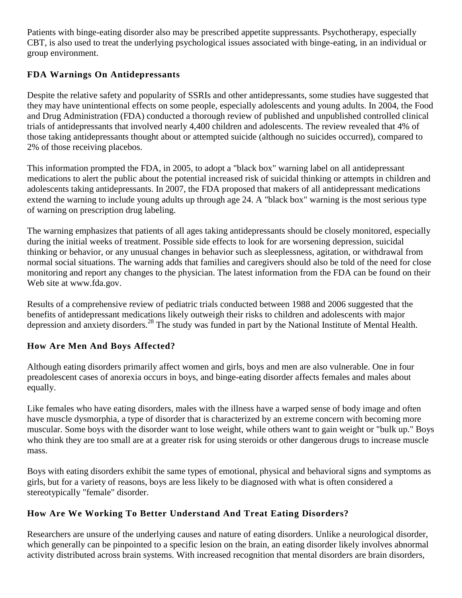Patients with binge-eating disorder also may be prescribed appetite suppressants. Psychotherapy, especially CBT, is also used to treat the underlying psychological issues associated with binge-eating, in an individual or group environment.

# **FDA Warnings On Antidepressants**

Despite the relative safety and popularity of SSRIs and other antidepressants, some studies have suggested that they may have unintentional effects on some people, especially adolescents and young adults. In 2004, the Food and Drug Administration (FDA) conducted a thorough review of published and unpublished controlled clinical trials of antidepressants that involved nearly 4,400 children and adolescents. The review revealed that 4% of those taking antidepressants thought about or attempted suicide (although no suicides occurred), compared to 2% of those receiving placebos.

This information prompted the FDA, in 2005, to adopt a "black box" warning label on all antidepressant medications to alert the public about the potential increased risk of suicidal thinking or attempts in children and adolescents taking antidepressants. In 2007, the FDA proposed that makers of all antidepressant medications extend the warning to include young adults up through age 24. A "black box" warning is the most serious type of warning on prescription drug labeling.

The warning emphasizes that patients of all ages taking antidepressants should be closely monitored, especially during the initial weeks of treatment. Possible side effects to look for are worsening depression, suicidal thinking or behavior, or any unusual changes in behavior such as sleeplessness, agitation, or withdrawal from normal social situations. The warning adds that families and caregivers should also be told of the need for close monitoring and report any changes to the physician. The latest information from the FDA can be found on their Web site at www.fda.gov.

Results of a comprehensive review of pediatric trials conducted between 1988 and 2006 suggested that the benefits of antidepressant medications likely outweigh their risks to children and adolescents with major depression and anxiety disorders.<sup>28</sup> The study was funded in part by the National Institute of Mental Health.

## **How Are Men And Boys Affected?**

Although eating disorders primarily affect women and girls, boys and men are also vulnerable. One in four preadolescent cases of anorexia occurs in boys, and binge-eating disorder affects females and males about equally.

Like females who have eating disorders, males with the illness have a warped sense of body image and often have muscle dysmorphia, a type of disorder that is characterized by an extreme concern with becoming more muscular. Some boys with the disorder want to lose weight, while others want to gain weight or "bulk up." Boys who think they are too small are at a greater risk for using steroids or other dangerous drugs to increase muscle mass.

Boys with eating disorders exhibit the same types of emotional, physical and behavioral signs and symptoms as girls, but for a variety of reasons, boys are less likely to be diagnosed with what is often considered a stereotypically "female" disorder.

## **How Are We Working To Better Understand And Treat Eating Disorders?**

Researchers are unsure of the underlying causes and nature of eating disorders. Unlike a neurological disorder, which generally can be pinpointed to a specific lesion on the brain, an eating disorder likely involves abnormal activity distributed across brain systems. With increased recognition that mental disorders are brain disorders,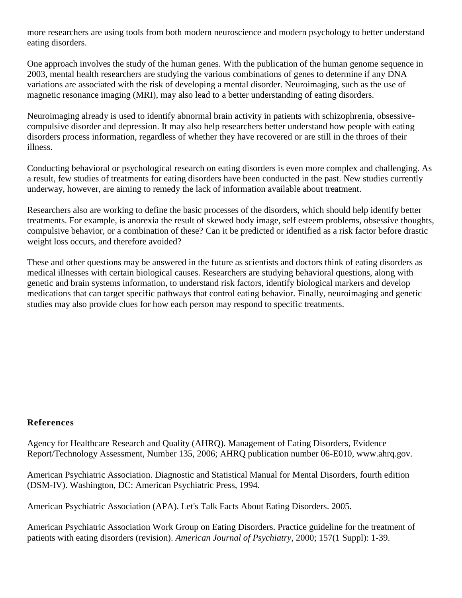more researchers are using tools from both modern neuroscience and modern psychology to better understand eating disorders.

One approach involves the study of the human genes. With the publication of the human genome sequence in 2003, mental health researchers are studying the various combinations of genes to determine if any DNA variations are associated with the risk of developing a mental disorder. Neuroimaging, such as the use of magnetic resonance imaging (MRI), may also lead to a better understanding of eating disorders.

Neuroimaging already is used to identify abnormal brain activity in patients with schizophrenia, obsessivecompulsive disorder and depression. It may also help researchers better understand how people with eating disorders process information, regardless of whether they have recovered or are still in the throes of their illness.

Conducting behavioral or psychological research on eating disorders is even more complex and challenging. As a result, few studies of treatments for eating disorders have been conducted in the past. New studies currently underway, however, are aiming to remedy the lack of information available about treatment.

Researchers also are working to define the basic processes of the disorders, which should help identify better treatments. For example, is anorexia the result of skewed body image, self esteem problems, obsessive thoughts, compulsive behavior, or a combination of these? Can it be predicted or identified as a risk factor before drastic weight loss occurs, and therefore avoided?

These and other questions may be answered in the future as scientists and doctors think of eating disorders as medical illnesses with certain biological causes. Researchers are studying behavioral questions, along with genetic and brain systems information, to understand risk factors, identify biological markers and develop medications that can target specific pathways that control eating behavior. Finally, neuroimaging and genetic studies may also provide clues for how each person may respond to specific treatments.

### **References**

Agency for Healthcare Research and Quality (AHRQ). Management of Eating Disorders, Evidence Report/Technology Assessment, Number 135, 2006; AHRQ publication number 06-E010, [www.ahrq.gov.](http://www.ahrq.gov/)

American Psychiatric Association. Diagnostic and Statistical Manual for Mental Disorders, fourth edition (DSM-IV). Washington, DC: American Psychiatric Press, 1994.

American Psychiatric Association (APA). Let's Talk Facts About Eating Disorders. 2005.

American Psychiatric Association Work Group on Eating Disorders. Practice guideline for the treatment of patients with eating disorders (revision). *American Journal of Psychiatry*, 2000; 157(1 Suppl): 1-39.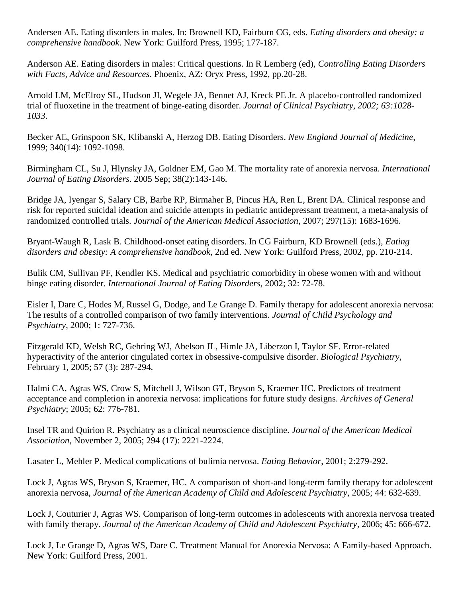Andersen AE. Eating disorders in males. In: Brownell KD, Fairburn CG, eds. *Eating disorders and obesity: a comprehensive handbook*. New York: Guilford Press, 1995; 177-187.

Anderson AE. Eating disorders in males: Critical questions. In R Lemberg (ed), *Controlling Eating Disorders with Facts, Advice and Resources*. Phoenix, AZ: Oryx Press, 1992, pp.20-28.

Arnold LM, McElroy SL, Hudson JI, Wegele JA, Bennet AJ, Kreck PE Jr. A placebo-controlled randomized trial of fluoxetine in the treatment of binge-eating disorder. *Journal of Clinical Psychiatry, 2002; 63:1028- 1033*.

Becker AE, Grinspoon SK, Klibanski A, Herzog DB. Eating Disorders. *New England Journal of Medicine*, 1999; 340(14): 1092-1098.

Birmingham CL, Su J, Hlynsky JA, Goldner EM, Gao M. The mortality rate of anorexia nervosa. *International Journal of Eating Disorders*. 2005 Sep; 38(2):143-146.

Bridge JA, Iyengar S, Salary CB, Barbe RP, Birmaher B, Pincus HA, Ren L, Brent DA. Clinical response and risk for reported suicidal ideation and suicide attempts in pediatric antidepressant treatment, a meta-analysis of randomized controlled trials. *Journal of the American Medical Association*, 2007; 297(15): 1683-1696.

Bryant-Waugh R, Lask B. Childhood-onset eating disorders. In CG Fairburn, KD Brownell (eds.), *Eating disorders and obesity: A comprehensive handbook*, 2nd ed. New York: Guilford Press, 2002, pp. 210-214.

Bulik CM, Sullivan PF, Kendler KS. Medical and psychiatric comorbidity in obese women with and without binge eating disorder. *International Journal of Eating Disorders*, 2002; 32: 72-78.

Eisler I, Dare C, Hodes M, Russel G, Dodge, and Le Grange D. Family therapy for adolescent anorexia nervosa: The results of a controlled comparison of two family interventions. *Journal of Child Psychology and Psychiatry*, 2000; 1: 727-736.

Fitzgerald KD, Welsh RC, Gehring WJ, Abelson JL, Himle JA, Liberzon I, Taylor SF. Error-related hyperactivity of the anterior cingulated cortex in obsessive-compulsive disorder. *Biological Psychiatry*, February 1, 2005; 57 (3): 287-294.

Halmi CA, Agras WS, Crow S, Mitchell J, Wilson GT, Bryson S, Kraemer HC. Predictors of treatment acceptance and completion in anorexia nervosa: implications for future study designs. *Archives of General Psychiatry*; 2005; 62: 776-781.

Insel TR and Quirion R. Psychiatry as a clinical neuroscience discipline. *Journal of the American Medical Association*, November 2, 2005; 294 (17): 2221-2224.

Lasater L, Mehler P. Medical complications of bulimia nervosa. *Eating Behavior*, 2001; 2:279-292.

Lock J, Agras WS, Bryson S, Kraemer, HC. A comparison of short-and long-term family therapy for adolescent anorexia nervosa, *Journal of the American Academy of Child and Adolescent Psychiatry*, 2005; 44: 632-639.

Lock J, Couturier J, Agras WS. Comparison of long-term outcomes in adolescents with anorexia nervosa treated with family therapy. *Journal of the American Academy of Child and Adolescent Psychiatry*, 2006; 45: 666-672.

Lock J, Le Grange D, Agras WS, Dare C. Treatment Manual for Anorexia Nervosa: A Family-based Approach. New York: Guilford Press, 2001.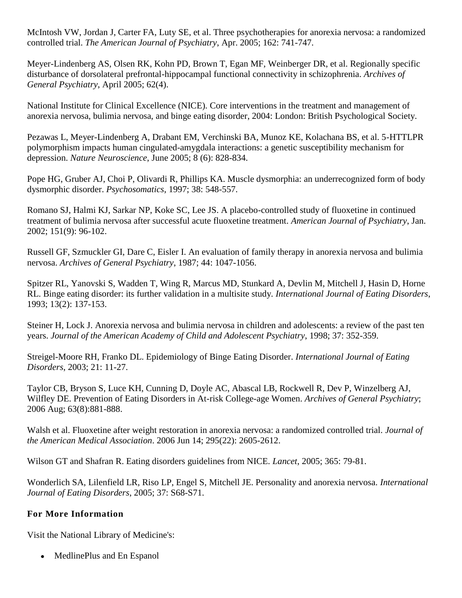McIntosh VW, Jordan J, Carter FA, Luty SE, et al. Three psychotherapies for anorexia nervosa: a randomized controlled trial. *The American Journal of Psychiatry*, Apr. 2005; 162: 741-747.

Meyer-Lindenberg AS, Olsen RK, Kohn PD, Brown T, Egan MF, Weinberger DR, et al. Regionally specific disturbance of dorsolateral prefrontal-hippocampal functional connectivity in schizophrenia. *Archives of General Psychiatry*, April 2005; 62(4).

National Institute for Clinical Excellence (NICE). Core interventions in the treatment and management of anorexia nervosa, bulimia nervosa, and binge eating disorder, 2004: London: British Psychological Society.

Pezawas L, Meyer-Lindenberg A, Drabant EM, Verchinski BA, Munoz KE, Kolachana BS, et al. 5-HTTLPR polymorphism impacts human cingulated-amygdala interactions: a genetic susceptibility mechanism for depression. *Nature Neuroscience*, June 2005; 8 (6): 828-834.

Pope HG, Gruber AJ, Choi P, Olivardi R, Phillips KA. Muscle dysmorphia: an underrecognized form of body dysmorphic disorder. *Psychosomatics*, 1997; 38: 548-557.

Romano SJ, Halmi KJ, Sarkar NP, Koke SC, Lee JS. A placebo-controlled study of fluoxetine in continued treatment of bulimia nervosa after successful acute fluoxetine treatment. *American Journal of Psychiatry*, Jan. 2002; 151(9): 96-102.

Russell GF, Szmuckler GI, Dare C, Eisler I. An evaluation of family therapy in anorexia nervosa and bulimia nervosa. *Archives of General Psychiatry*, 1987; 44: 1047-1056.

Spitzer RL, Yanovski S, Wadden T, Wing R, Marcus MD, Stunkard A, Devlin M, Mitchell J, Hasin D, Horne RL. Binge eating disorder: its further validation in a multisite study. *International Journal of Eating Disorders*, 1993; 13(2): 137-153.

Steiner H, Lock J. Anorexia nervosa and bulimia nervosa in children and adolescents: a review of the past ten years. *Journal of the American Academy of Child and Adolescent Psychiatry*, 1998; 37: 352-359.

Streigel-Moore RH, Franko DL. Epidemiology of Binge Eating Disorder. *International Journal of Eating Disorders*, 2003; 21: 11-27.

Taylor CB, Bryson S, Luce KH, Cunning D, Doyle AC, Abascal LB, Rockwell R, Dev P, Winzelberg AJ, Wilfley DE. Prevention of Eating Disorders in At-risk College-age Women. *Archives of General Psychiatry*; 2006 Aug; 63(8):881-888.

Walsh et al. Fluoxetine after weight restoration in anorexia nervosa: a randomized controlled trial. *Journal of the American Medical Association*. 2006 Jun 14; 295(22): 2605-2612.

Wilson GT and Shafran R. Eating disorders guidelines from NICE. *Lancet*, 2005; 365: 79-81.

Wonderlich SA, Lilenfield LR, Riso LP, Engel S, Mitchell JE. Personality and anorexia nervosa. *International Journal of Eating Disorders*, 2005; 37: S68-S71.

### **For More Information**

Visit the National Library of Medicine's:

• [MedlinePlus](http://www.nlm.nih.gov/medlineplus) and [En Espanol](http://medlineplus.gov/spanish)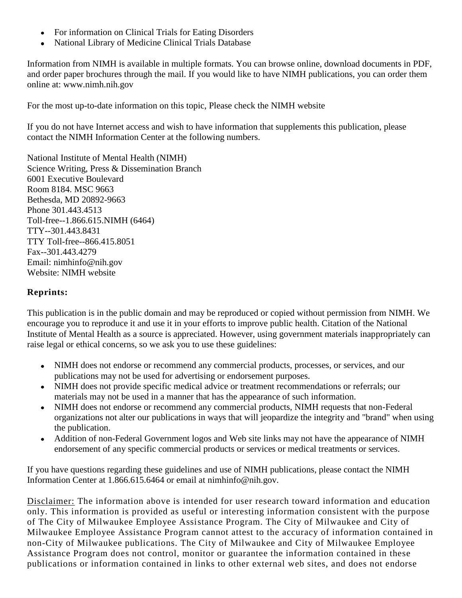- For information on [Clinical Trials for Eating Disorders](http://www.nimh.nih.gov/studies/index.cfm)
- National Library of Medicine [Clinical Trials Database](http://www.clinicaltrials.gov/)

Information from NIMH is available in multiple formats. You can browse online, download documents in PDF, and order paper brochures through the mail. If you would like to have NIMH publications, you can order them online at: www.nimh.nih.gov

For the most up-to-date information on this topic, Please check the [NIMH website](http://www.nimh.nih.gov/)

If you do not have Internet access and wish to have information that supplements this publication, please contact the NIMH Information Center at the following numbers.

National Institute of Mental Health (NIMH) Science Writing, Press & Dissemination Branch 6001 Executive Boulevard Room 8184. MSC 9663 Bethesda, MD 20892-9663 Phone 301.443.4513 Toll-free--1.866.615.NIMH (6464) TTY--301.443.8431 TTY Toll-free--866.415.8051 Fax--301.443.4279 Email: [nimhinfo@nih.gov](mailto:nimhinfo@nih.gov) Website: [NIMH website](http://www.nimh.nih.gov/)

## **Reprints:**

This publication is in the public domain and may be reproduced or copied without permission from NIMH. We encourage you to reproduce it and use it in your efforts to improve public health. Citation of the National Institute of Mental Health as a source is appreciated. However, using government materials inappropriately can raise legal or ethical concerns, so we ask you to use these guidelines:

- NIMH does not endorse or recommend any commercial products, processes, or services, and our  $\bullet$ publications may not be used for advertising or endorsement purposes.
- NIMH does not provide specific medical advice or treatment recommendations or referrals; our materials may not be used in a manner that has the appearance of such information.
- NIMH does not endorse or recommend any commercial products, NIMH requests that non-Federal organizations not alter our publications in ways that will jeopardize the integrity and "brand" when using the publication.
- Addition of non-Federal Government logos and Web site links may not have the appearance of NIMH endorsement of any specific commercial products or services or medical treatments or services.

If you have questions regarding these guidelines and use of NIMH publications, please contact the NIMH Information Center at 1.866.615.6464 or email at [nimhinfo@nih.gov.](mailto:nimhinfo@nih.gov)

Disclaimer: The information above is intended for user research toward information and education only. This information is provided as useful or interesting information consistent with the purpose of The City of Milwaukee Employee Assistance Program. The City of Milwaukee and City of Milwaukee Employee Assistance Program cannot attest to the accuracy of information contained in non-City of Milwaukee publications. The City of Milwaukee and City of Milwaukee Employee Assistance Program does not control, monitor or guarantee the information contained in these publications or information contained in links to other external web sites, and does not endorse